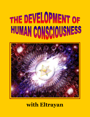# THE DEVELOPMENT OF HUMAN CONSCIOUSNESS



## **with Eltrayan**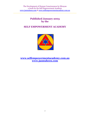#### **Published January 2003 by the**

#### **SELF EMPOWERMENT ACADEMY**



**[www.selfempowermentacademy.com.au](http://www.selfempowermentacademy.com.au/) [www.jasmuheen.com](http://www.jasmuheen.com/)**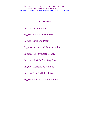#### **C0ntents**:

- Page 3: Introduction
- Page 6: As Above, So Below
- Page 8: Birth and Death
- Page 10: Karma and Reincarnation
- Page 12: The Ultimate Reality
- Page 15: Earth's Planetary Chain
- Page 17: Lemuria ad Atlantis
- Page 19: The Sixth Root Race
- Page 20: The System of Evolution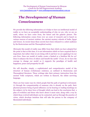### *The Development of Human Consciousness*

We provide the following information as it helps to have an intellectual model of reality so we have an acceptable understanding of who we are, why we are on earth, where we have come from, the future and the galactic picture. The following information comes from over 30 years of research and is based on various sources of ancient wisdom: the ancient mystery schools of India, Egypt and Greece. In recent times these secrets have been released to a select audience by the Rosicrucians and the Theosophical society.

Obviously this model of reality may differ from that which you have adopted but the point is that at this time, it is not information which we have acquired that is important, but rather what we are doing with it and how we are applying it in our own lives. Does our model of reality create a limited or a limitless life for us? Does it enhance the lives of others and benefit the earth? If not, do we have the courage to change our model so it supports the paradigm of health and happiness, peace and prosperity for all?

We will describe, simply, a sophisticated and comprehensive model of the structure of human evolutionary existence, as outlined in Rosicrucian and Theosophical literature. These writings take their primary instruction from the ancient Vedic scriptures, which are written in Sanscrit, the oldest surviving language.

There are four main ways by which people find the path of spiritual evolvement: (1) through the companionship of someone who is already on the path, their physical presence being of great influence; (2) by hearing or reading teachings on the subject; (3) by sheer force of thought which can lead to the conclusion that a plan of evolution and those who know about it must exist, along with a way by which those evolved individuals can be contacted; and (4) through the practice of virtue, which develops intuition that will take the person to the company of likeminded individuals.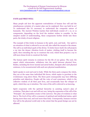#### *FATE and FREE WILL*

Many people ask how the apparent contradiction of human free will and the simultaneous certainty of a master plan can be explained. How can both be so? To understand this it's necessary to understand the composite nature of humanity. The Ancient Wisdom teaches that individuals consist of 7, 10, or 12 components, depending on the level the student wishes to consider. In the simplest model of understanding, these components further divide into three parts, the trinity of most religions.

The example of this trinity in humans is the spirit, soul, and body. Our spirit is an extention of what is referred to as our self, also called the monad or the atman. The self is an individual spark of the divine. To better know itself, the self projects a ray into the denser vibration levels of matter, clothing itself to become the spirit, then extending the ray to construct the soul, which then projects a ray to still more dense levels to construct the body.

The human spirit remains in existence for the life of our galaxy. The soul, the aspect which reincarnates, withdraws into the spirit between physical lives. Bodies, including the lower mental and astral bodies, dissipate after each physical existence, to be reconstructed with each new physical manifestation.

Spirit speaks to soul and soul to body. While the three parts compose the whole, they are at the same time individual life forces, which aspire to gravitate to the evolutionary rung above them. The three parts consequently may have differing priorities and objectives. People call the voice of soul conscience, which is the collective wisdom of all their past lives, and occasionally hear the whisper of spirit, which they say is intuition. The voice of the self is referred to as knowing.

Spirit cooperates with the spiritual hierarchy in assisting nature's plan of evolution. That plan is set and will not vary, being the expression of the will of the "Principle", the unmanifest creator of the universe. The plan of evolution is what fate is. The level of free will is a measure of spiritual and intellectual status, spirit having more than soul, and soul more than body. Consequently, humans exercise free will in the physical world only to the extent that the grand design can not be affected.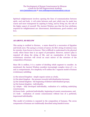Spiritual enlightenment involves opening the lines of communication between spirit, soul and body. A veil exists between each part which may be made less coarse and more transparent by aspiring to being, and by living out, the role of the higher aspect of yourself. The Ancient Wisdom says that the four attributes required for enlightenment are: discernment, desirelessness, good conduct, and love.

#### *AS ABOVE, SO BELOW*

This saying is credited to Hermes, a name shared by a succession of Egyptian and Greek seers. The saying is a truism of nature, for life's string of existence runs for eternity, from forever to forever. This is difficult to understand in the physical world, where linear time is an aspect of perception. However, nature's plan is repeated all along the string of life, and an examination of the human evolutionary structure will reveal an exact mirror of the structure of the composition of humans.

Since life is endless, it is a matter of deciding which segment to consider. As mentioned, the Ancient Wisdom considers increasingly complex views of 7, 10, and 12 compartments. For simplicity we"ll outline the 7 segment model of human evolutionary unfolding:

(1) the mineral kingdom - simple organic unism as a body,

(2) the plant kingdom - the pressure towards individualisation increases,

(3) the animal kingdom - the beginning of distinct individualised groups,

(4) the human kingdom - individuality,

(5) Adepts - fully developed individuality, realisation of a unifying underlying consciousness,

(6) lower Gods - perfected individuality, beginning of cosmic consciousness, and,

(7) Gods - realisation of cosmic consciousness without loss of a perfected, impersonal individuality.

This model of evolution is repeated in the composition of humans. The seven components of humans are traditionally described using Sanskrit terms: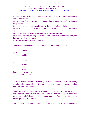(1) physical body - the common carrier of all the inner constitution of the human during physical life,

(2) astral model body - the exact but more ethereal model on which the human body is built,

(3) prana - the human individual electrical field manifesting as vitality,

(4) karma - the organ of desires and aspirations, the driving force in the human constitution,

(5) manas - the organ of ego consciousness, the reincarnating soul,

(6) buddai - the spiritual organ in humans which expresses itself as intuition, the inseparable veil of the atman, and

(7) atman - divine pure consciousness.

These seven components in humans divide into spirit, soul, and body:

| spirit | atman                                 |
|--------|---------------------------------------|
|        | buddai                                |
| soul   | manas                                 |
|        | karma                                 |
| body   | prana<br>astral body<br>physical body |

At death, the soul divides; the manas, which is the reincarnating aspect, being withdrawn into the spirit, and the karma and three lower bodies decomposing into their constituent life atoms.

There are 5 other levels in the composite human which make up the 12 compartment model of understanding. Below the mineral kingdom, there are three non-physical elemental kingdoms, and above the Gods there are two more highly spiritually evolved kingdoms.

The numbers 7, 10, and 12 recur. 7 is the keynote of Earth; that is, energy is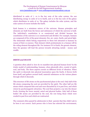distributed in units of 7. 10 is the key note of the solar system, the sun distributing energy in units of 10 to Earth, and 12 is the key note of the galaxy which distributes in units of 12. The galaxy includes the solar system, and the solar system of course includes the Earth.

Each human is a miniature mirror of the universe. Human principles and elements are built from the forces and substances of which the universe is built. The individual's constitution is so constructed and divided because the constitution of the universe is so constructed and divided. For example, humans are composed of five of the great elements: fire, air, water, Earth, and astral light. The elementals which belong respectively to these feel attracted to humans by reason of their co-essence. That element which predominates in a human will be the ruling element throughout life. For instance if it is Earth, the gnomic element, then the gnomes will lead the person towards attracting metals - money and wealth.

#### *BIRTH and DEATH*

A question often asked is: how do we manifest into physical human form? In the trinity model of understanding, humans, when physically alive, consist of spirit, soul, and body. The three aspects coexist on different levels of vibration. When the spirit re-descends into physical incarnation upon the Earth, it throws forth from itself, and gathers around itself, material substances on the various planes through which it descends.

This structure of life atoms on the psychomental plane is the soul. Only half of the life atoms composing the soul are provided by the spirit. The other half are life atoms which composed this soul and were discarded by it in past lives, and which return by psychomagnetic attraction. The soul then projects a ray into the denser levels, forming the lower mental, astral and physical bodies. Only half of these bodies' life atoms are provided by the soul, the rest being those which were exuded in past lives and which are reattracted.

The comment often passed by adolescents to their parents that they didn't ask to be born is not correct. Each person who is born has selected the environment,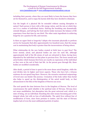including their parents, where they are most likely to learn the lessons they have set for themselves, and to repay the karmic debt they have decided to eliminate.

Can the length of a physical life be extended without causing disruption to nature? Each person is born with a life energy ration, and the rate at which they use it is a matter of individual choice. Halving the breathing rate dramatically extends lifespan, and halving the food calorie intake increases the balance of life expectancy from that time by one third. The other main ingredients in achieving longevity are a passion for life, and exercise.

Is there an upper limit to longevity? Adepts who incarnate physically to perform service for humanity find after approximately two hundred years, that the energy cost in maintaining that body is greater than the inconvenience of being reborn.

What relationship do the new bodies created at birth have to past lives? The lower mental, astral, and physical bodies are new for each life, although approximately half of the life atoms of each are attracted to them, having been deposited by the individual on that plane in previous lives. The lower mental and astral bodies which humans first form are exactly an expression of the individual as they were at the end of their last life. As the person goes through life, these bodies are modified considerably.

After death, a period of time is spent in the more dense astral kingdom, while the soul divides into its higher and lower aspects. Those who have led a virtuous existence do not spend long there. However, the excessive emotional outpourings of loved ones can hinder this journey. Cremation of the body rather than burial also helps to speed up the disintegration of the astral model body, so that advancement to the bliss of the kingdom of Heaven can occur.

The soul spends the time between lives in the kingdom of Heaven. The level of consciousness the spirit inhabits is the spiritual state of Nirvana. Nirvana does not mean annihilation, but absorption into the great universal soul, which is a state of being, not an individual. Reaching this state means becoming part of the integral whole, but with no loss of individuality. The spirit lives without fear of modification of form, since form pertains to matter, and the state of Nirvana implies lack of even the most sublimated particle of matter.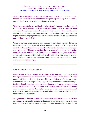What is the goal at the end of our many lives? Within the grand plan of evolution, the goal for humanity is achieving the melding of our personality, soul and spirit. Beyond that lies the choice of unimaginable adventures.

What lessons are to be learned in physical existence? Humans have been cut off from direct knowledge of spirit, to dwell completely in the isolation of three dimensional experience, since only in such isolation from the divine can humans develop the necessary self consciousness and freedom which are the prerequisites for developing individual self consciousness and for the appearance of unconditional love on Earth.

When in physical manifestation, time appears to be a basic element. However, time is simply another aspect of activity, motion, or dynamics, in the guise of a symbol. It denotes the amount of activity in terms of a definite unit, using space as a background. This makes possible the correlating of events and the bringing of order into the universe. There is no actual movement of time, but rather what we see as the passage of time is the physical world going from lesser to greater levels of chaos. There can be no time without motion, nor motion without time, and neither without thought.

#### *KARMA and REINCARNATION*

Reincarnation is the rebirth in a physical body of the soul of an individual, to gain the experiences which are only available from physical manifestation. A large number of lives need to be lived to achieve the desired result. Karma is the accumulated result of all past lives, a type of impersonal debit and credit ledger, the balancing of which is a major reason for humans to incarnate so many times. When this is understood, it is obvious that negative and harmful acts are only done in ignorance of this knowledge, since an equally negative and harmful reaction is automatically applied to the individual performing the act, in either their current or a future life.

As a general rule, humans usually are born not less than three and not more than seven times in one gender before switching over to the other. However, as soon as the individual soul makes some progress, considerable elasticity is introduced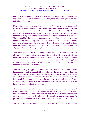into the arrangements, and the soul is born into the gender, race, and conditions best suited to produce conditions to strengthen the weak points in the individual's character.

However, there are patterns which often apply. For those who have a degree of spiritual awareness, one group incarnates every seven hundred years, and the other group every twelve hundred years. The difference is determined by the way the individualisation of the particular soul was attained. Those who became individualised by intellectual development have twelve hundred year breaks. Those who did so through an instantaneous rush of affection or will, have seven hundred year breaks, being able to experience the intervening bliss in a much more concentrated form. There is a great deal of flexibility with regard to these intervals between lives, a dominant factor being the necessity of bringing groups of people into incarnation together, to work out mutual karmic interrelations.

Those who are the most recent entrants on the human life wave have rest periods of from one or two hundred years, down to as little as five years, with dense, materially attached individuals being Earth-bound, that is being promptly reborn, which occurs quite frequently. This material attachment does not apply to all who are quickly reborn. For example, the Tibetans are a special class of individuals, who remanifest quickly.

There are three great types of karma. The first is the vast mass of unexhausted karma, good or bad, accumulated from past lives, which waits to be worked out. The second type is that particular part of the first which has been selected to be resolved in the current incarnation. The third type is the new karma constantly being made by present actions. It is the karma of the second type which the astrologist or palmist tries to read, and their calculations are often invalidated by intrusions from the other two varieties.

There are no real accidents; however, occasionally an event occurs which is said to be karmically unmerited. This happens when an individual is caught up in the more potent karma of others. It may involve negative consequences which are not deserved. In this case, a karmic credit is established and compensation is provided by the administrators of karma, in the blissful period between lives.

The degree of individualisation in animals varies, as an animal group soul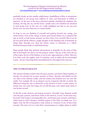gradually breaks up into smaller subdivisions. Quadrillions of flies or mosquitoes are attached to one group soul, millions of mice, and thousands of rabbits or sparrows. In the case of the more advanced animals, including the elephant, the monkey, the dog, the cat, and the horse, usually only a few hundred are attached to each group soul. In the case of a really intelligent pet dog or cat, one soul hovers over not more than ten or a dozen bodies.

As long as you are thinking of yourself and putting forward any energy, you create karma. Even if the energy is good; good karma binds you to physical life just as surely as bad karma, because you have done it for yourself. But if you do all your good deeds without a single thought of self, thinking only of humanity as doing them through you, then the karma comes to humanity as a whole. Perfected humans make no individual karma.

Many people think that spiritual advancement is desirable for the state of bliss that is developed, but that is not the primary motive. The joy of the Lord, the joy of the Logos, the joy of the Masters, is not in any vague pleasure or bliss. Their joy is in their work, the mighty work of evolution, work in which all are encouraged to join - the joy of pouring forth unconditional love throughout the universe.

#### *THE ULTIMATE REALITY*

The Ancient Wisdom teaches that the past, present, and future blend together in eternity, for eternity has no past, present, or future. Eternity and infinity are the two sides of the ultimate reality, and the trained and initiated seer can view this reality. For example, life on an electron can be compared with life on Earth, the difference being the rate at which life on the electron is lived. A solar system, of atomic size, can come into being, live its full life span, and vanish many times in one human second.

To the life on the electron, one human second is "eternally" long. Humans would view the past, present, and future of life on the electron, as now. In the same way, the Gods' time tempo is incomparably slow, and human past, present, and future, which seem so real to humans, similarly appear to the Gods, as simply now. To a higher God, the life of humanity's solar system is a fraction of one of that God's seconds. The seer's art is to raise their consciousness to a higher plane in which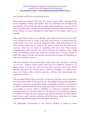past, present, and future are perceived as now.

Every entity has a degree of free will. The amount of free will is a measure of the level of spiritual vitality and intellect that the individual has developed and accumulated. The person who has foresight made possible by a reserve of free will can modify their conduct, and accordingly amend the effect of the future on them, without of course changing the total picture of the future, which is not possible.

Every atom has its home in a molecule; every molecule has its home in a cell; every cell has its home in a body; every body has its home in a greater body, the greater body in the case of humans being the Earth; which has its home in the solar system; which has its home in the galaxy; which has its home in the universe; which has its home in something still more vast. There human comprehension ends, however the chain continues ad infinitum. Every thing exists in something greater than itself and contains hosts of beings inferior to itself. The nearest concept that human consciousness can grasp in attempting to define the Absolute, is space.

The word Absolute is the past participle of the Latin verb - absolvere - meaning "to set free". Absolute means freed, freed from all conditions beneath it. In human terms, it means one who has risen above and been freed from all the shackles that fetter the average person. However, Absolute is a relative term, since every living entity is forever growing, evolving, thus encountering new situations to master.

The one thing that no entity can avoid is continuous existence, however that does not mean immortality of the personal ego. Everything changes. Nothing that is composite is immortal. Immortality means unchanging continuity of a being as it is, which would mean that the entity could never grow. Yet there is in the heart of every entity an essence which is deathless. In continuous boundless infinity, unending existence cannot be wiped out. The reason for the evolutionary journey is twofold: to enable the divine spark to gain self consciousness on lower planes than its own, and to aid the evolution of the life atoms which form its various vehicles on the different planes through which it descends.

The philosophy incorporated in the Ancient Wisdom is based on three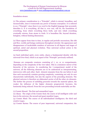#### foundation-stones:

(1) The primary consideration is a "Principle", which is eternal, boundless, and inconceivable, since it transcends any power of human conception. It is referred to as a "Principle", since there is no word in the English language that accurately describes it. It is everything, all that is, ever was, will be, the foundation of everything, from which everything flows forth, and into which everything eventually returns, from atoms to Gods. It is boundless life, beyond duration, beingless, without limiting dimensions.

(2) There appear from time to time, in regular and periodic successions, like ebb and flow, worlds and beings continuous throughout eternity: the appearance and disappearance of incalculable numbers of universes in all degrees and stages of spiritual, astral and physical evolution. Thus universal cyclical action is the second proposition.

(3) Each individual spirit, every entity, shares a fundamental identity with the universal Over-Soul, which is an aspect of the "Principle" previously outlined.

Humans are composite creatures consisting of 7, 10, or 12 compartments, depending on the complexity of the view taken. This is a miniature mirror of the hierarchy of the universe. In considering the 7-compartment model of the universe, all the following elements are to be understood as interpenetrating, interwoven with each other. Each element emanates from the one before it and thus each successively contains growing complexity, containing not only its own characteristic individuality, but also the aspects of the preceding elements. The physical universe is therefore an elaborated carrier of all the other six elements. The further the process of unfolding proceeds towards the material sphere, the weaker the influence of the higher elements progressively becomes, the luminosity being reduced. From the core proceeding towards materiality are the:

(1) Cosmic Monad: The first and unmanifest Logos.

(2) Akasa: The origin of the Cosmic Soul; the source of all intelligent order and laws in the universe; the second and quasi-manifest Logos.

(3) Cosmic Mind: The source of all individualised intelligence; the third and creative Logos.

(4) Cosmic Karma: The source of pure impersonal, universal compassion; the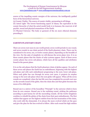source of the impelling cosmic energies of the universe; the intelligently guided force of the hierarchical universe.

(5) Cosmic Vitality: The source of cosmic vitality, permeating in all things.

(6) Astral Light: The lowest functioning aspect of Akasa; the equivalent in the cosmic hierarchy of what the astral model body is to humans; the reservoir of all psychic, moral and physical emanations of the Earth.

(7) Physical Universe: The body or garment of the six more ethereal elements preceding it.

#### *EARTH'S PLANETARY CHAIN*

There are seven root races in one world period, seven world periods in one round, and seven rounds in one chain period of the Earth planetary chain. There can be considered to be seven, ten, or twelve cosmic planes, depending on the breadth of the view. For the sake of simplicity we will discuss the seven plane view. It is on these cosmic planes that the chains of solar systems appear. Each of these seven cosmic planes has seven sub-planes, which have all the qualities and attributes found in the parent plane.

It is on the sub-planes that the Earth planetary chain of globes appear. On each of these seven sub-planes the Earth has an embodiment, beginning with the highest sub-plane and with each embodiment progressing to the next, lower sub-plane. When each globe has run through its seven root races, it projects its surplus energy to the next sub-plane where the next globe will appear. When all the seven rounds are completed, when the last life wave has completed its seventh root race on the seventh round of the globe, then the chain dies and that globe becomes the moon of its child globe.

Round one is a mirror of the boundless "Principle" in the universe which is born from its own essence. Round one is the outlining round, striking the pathways according to past karma for all the succeeding rounds. All the twelve kingdoms combine to rebuild the globes of the chain from their past embodiments. The first entities that appear are the highest entities from the last incarnation of the chain, who work with the elementals. It is always the more evolved which set the pace and give the plan for the less evolved to follow. After each round the high entities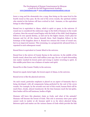lower a rung and the elementals rise a rung, thus being on the same level in the fourth round as they pass. By the end of the seven rounds, the spiritual entities who started at the bottom will have evolved to God - humans, or the equivalent beings in other kingdoms.

Round two is equivalent to Akasa, which is spirit or space, in the universe. If round one is considered the embryonic stage in the birth of humans in the womb of nature, then the second round begins with the birth of the child. Each kingdom follows its own special destiny, as laid out by the higher classes, God's plan for humans and for all the classes beneath them. Each kingdom follows in the footsteps of the kingdom above it. Round two retraces the events of round one, but in an improved manner. This rerunning, in a progressively advanced form, is repeated in each subsequent round.

Round three is equivalent to Cosmic Mind in the universe.

Round four is the mirror of Cosmic Karma in the universe. In the middle of the fourth round, about four and a half million years ago, the arc of spirit descending into matter reached its lowest point and swung to matter reverting to spirit. At this middle point there was a balance of matter and spirit.

Round five is like Cosmic Vitality in the universe.

Round six equals Astral Light, the lowest aspect of Akasa, in the universe.

Round seven is like the physical universe.

On each round, particular emphasis is placed on an aspect of humanity that is being developed, with all components being perfected by the end of the seven rounds. For example, by the seventh root race of this round, human flesh will be much finer, cloudy, almost translucent. By the time humans reach the last globe, their bodies will be self luminous, bodies of light.

Humans will leave this planetary chain as Gods; and what of the animals? Humans will become the lowest of Gods. This role is necessary since pure spirit cannot work in matter at all, because spirit is so far above physical being. Between spirit and matter are the various classes of Gods which provide the link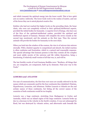and which transmit the spiritual energy into the lower world. This is how spirit acts on matter; indirectly. The lower Gods work in the realms of matter, and one of the forces they use is astral physical creative fire.

Entities who had not reached the higher levels on the preceding chain, the lunar chain, who were not completely evolved in their spiritual/intellectual aspects, provided the initial bodies for humanity. A superior level of beings, who have use of the fires of the spiritual-intellectual realms, provided the spiritual and intellectual aspects of humans. Humans will complete the seven rounds as the second type mentioned, and the animals as the first type. Thus the current animals will provide the bodies for humanity in the next chain.

When you look into the window of the cosmos, the view is of mirrors into mirrors eternally. With a limited capacity to comprehend and absorb, the initial reaction is often confusion and frustration, which is a natural and reasonable response. The special advantage that humans possess is that they contain all the complex and most subtle secrets of the universe and life within themselves, being a functioning, if relatively small version of all that was, is, and will be.

The last Earthly words of Lord Gautama Buddha were: "Brothers, all things that are, are composite, are component, built up by elements. Find your way to the Truth."

#### *LEMURIA and ATLANTIS*

For ease of communication, the first four root races are usually referred to by the names which are commonly used for the four continents they inhabited: Polarian, Hyperborean, Lemurian, and Atlantean. Neither Lemuria or Atlantis are the real archaic names of these continents, but listing all the correct names of the countries of both continents would be too lengthy.

Lemuria was a huge continent, stretching from Madagascar to Ceylon and Australia, which was an inland region of the large continent. Lemuria broke up due to a decrease in the velocity in the Earth's rotation. It was not submerged by flood, but was destroyed by volcanic action, and afterwards sank beneath the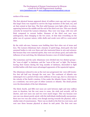surface of the ocean.

The first physical human appeared about 18 million years ago and was a giant; this larger form was required to survive the huge monsters of the land, sea, and air that existed at that time. The first solid humans were light yellow in colour, appearing between the middle and the end of the third root race. This race should correctly be termed the Lemuro-Atlantean. They were very large, with very soft flesh compared to current bodies. Humans of the third root race were androgynous, then changing to the two sexes. At that time everything on the globe was of a grosser nature, while shells and corals were still in a semi-astral state.

By the sixth sub-race, humans were building their first cities out of stone and lava. The Lemuro-Atlanteans had a dynasty of spirit-kings, demi-gods who had assumed bodies to rule over them and who instructed them in arts and sciences. But because they were material spirits, they were not always good, and under the influence of one such king, the Atlanteans became a race of wicked magicians.

The Lemurians and the early Atlanteans were divided into two distinct groups the "sons of night" or darkness, and the "sons of the sun" or light. The former, leaving their homes during the long months of darkness, descended to fight terrible battles with their more advantaged opponents of the equatorial regions.

The Atlanteans reduced in size as the root race progressed, but were still twentyfive feet tall half way through the root race. The continent of Atlantis was submerged over a period of time some millions of years ago, due to a decrease in the velocity of the Earth's rotation. It lies under the Atlantic Ocean. Only Africa, as a continent, was never part of either Lemuria or Atlantis. The druid priests were the descendants of the last Atlanteans.

The third, fourth, and fifth root races are each between eight and nine million years in duration, but the root races to come, the sixth and seventh, will be shorter, and root races one and two were much longer. This was because root race one was almost purely astral, with the individuals intellectually unconscious. Root race two was also astral, even though moving towards the physical, with a similar state of consciousness. There was no death in the first two root races, and root race three became physical at about its mid point. The first root race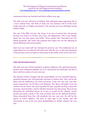commenced about one hundred and thirty million years ago.

The sixth root race will leave sex behind, with androgyny again appearing, but in a more refined form. The flesh of sixth root race humans will be much more tender and soft, as if light was behind it. The seventh root race will begin having bodies of light.

The seat of the fifth root race, the Aryan, is an area of central Asia, the general location now known as Turkey, Iraq, Iran, and Afghanistan. This is now largely desert but was then green and fertile. These people later descended into the Indian peninsula. The Arabs who populate that region now are the offspring of mixed Atlantean and Aryan peoples.

Each root race starts half way through the previous one. The traditional way of expressing it is to say that the old waters mix with the new, as the more advanced of the previous root race begin to reincarnate in the bodies of the newer root race.

#### *THE SIXTH ROOT RACE*

The sixth root race will be founded in southern California. The spiritual hierarchy decides what additional qualities are to be introduced into humanity and this is done with the creation of a new root race.

The spiritual entities charged with the responsibility are two Ascended Masters, perfected humans who will physically incarnate to achieve this. They will be the Manu and the Bodhisattva, the brain and heart, of the new root race, and their names respectively, are El Morya and Kuthumi. The Manu will gather from the current root race those who most resemble the type required, develop in them the necessary characteristics, and he will then incarnate into this group. Since he has eliminated his individual karma, he is free to mould all his vehicles, causal, mental and astral, exactly to the copy set before him by the spiritual hierarchy. Those descended from him will constitute the new root race. He will be the parent of twelve children, one born in each sign of the Zodiac, and will reincarnate as one of his own great grandchildren to further enhance the root race.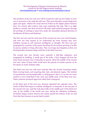The members of the new root race will be required to take up new bodies as soon as it is necessary to lay aside the old ones. They must therefore accept being born again and again, without the usual interval of bliss on the higher planes between lives. For century after century, they must undertake this task. This is no light burden to assume, but those involved will make rapid spiritual progress through the privilege of working in many lives under the immediate physical direction of the Masters El Morya and Kuthumi.

The first root race and the early part of the second root race were astral humans, and were not truly human as we understand the term, because they were mindless, having no self conscious intelligence or thought. The first root race propagated by a portion of the parent breaking off, the portion growing to be like its parent, similar to living cells today. They were huge and shapeless at first, not forming bodies of human shape until late in the third root race.

The second root race became more material, a jelly-like substance, and propagated by budding. A small part of the body, a bud, dropped off from the main trunk and grew into a being like its parent. About the middle of the second root race, many of these buds would leave the parents at certain seasons, as do the spores or seeds of plants today.

The third root race was still more material than the second, becoming tender flesh covering bones, and acquiring skin, hair, and physical organs. The method of reproduction was hermaphroditic or androgynous, that is to say the two sexes existed in every individual of the early and middle parts of the third root race. These creatures produced eggs from which their young grew.

In the latter part of this root race, humans separated into opposite sexes. The Lords of Mind had begun to embody intelligence in humanity in the last part of the second root race, and this took place fully in the middle part of the third root race. In the middle of the fourth root race, during the Atlantean civilisation, involution began; human descent into matter passed the bottom of the arc and from that time became an ascent back to spirit.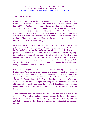#### *THE HUMAN MIND*

Human intelligence was awakened by entities who came from Venus, who are referred to by the Ancient Wisdom as the Kumaras, the Lords of the Flame, or the Lords of Mind. The four publicly known Kumaras are Lord Sanat Kumara, Lord Sananda, Lord Sanatana, and Lord Gautama, who recently replaced Lord Sanaka who has moved to other cosmic spiritual responsibilities. With them came twenty-five adepts as assistants plus about a hundred human beings who were associated with them. These humans were merged into the ordinary humanity of the Earth. There are another three Kumaras who are generally not known: Lord Sanat Sujata, Lord Sana, and Lord Kapila.

Mind exists in all things, even in inanimate objects, but it is latent, existing as potential only. In humans, that dormant aspect has been activated. The Kumaras lit the candle's wick, but the candle was already there. A little child cannot perform intellectual tasks, but as the years pass the child begins to think logically, to be endowed in progressive measure with self consciousness. So it is with the human race. The Kumaras have not yet fully manifested their intellectual splendour; it is still in progress. Human minds are still imperfect, not yet fully evolved. The current human intellect is infinitesimal compared to that which the average person will possess in the future.

Each definite thought produces a double effect - a radiating vibration and a floating form. These vibrations, like all others in nature, become less powerful as the distance increases, as they radiate out from their source. Whenever they settle upon another mental body, they tend to provoke in it their own rate of motion. The second effect of a thought is the floating thought form. It becomes for a time a kind of living creature, the thought-force being the soul, and the vivified matter of the mental and astral planes being the body. Each thought draws around it the matter appropriate for its expression, deciding the colour and shape of the thought form.

A general thought floats detached in the atmosphere, and gradually exhausts its energy and falls to pieces, unless it awakes sympathetic vibration in a mental body near at hand which absorbs it. Thought forms produce exactly the idea initiated. Vibrations, on the other hand, are more far reaching but only produce influence.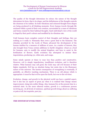The quality of the thought determines its colour; the nature of the thought determines its form, that is its shape; and the definiteness of the thought controls the clearness of its outline. So both vibrations and coloured thought form shapes are being produced in all thinking moments. Every human travels through life enclosed within a pond of their own creation, surrounded by a mass of vibrations and forms created by their habitual thoughts. Each individual's view of the world is tinged by their pool"s colours and modified by its vibration rate.

Until humans learn complete control of their thoughts and feelings, they see nothing as it really is. Humanity then owes a great deal to the Kumaras. The stimulus provided by the Lords of Flame advanced the development of the human intellect by a measure of millions of years. As a matter of interest, they also brought from Venus certain additions to Earth's kingdom: wheat as a food for humans; ants to modify the animal kingdom; and bees to assist in the fertilisation of flowers. Earth evolution has attempted to imitate these importations, producing rye, white ants, and wasps.

Some minds operate at times in ways less than positive and constructive. However, evil is simply imperfection, insufficient evolution, and is therefore relative. What humans may call good, the Gods may call evil because of their higher standards. Evil has no absolute being, but exists due to the illusionary nature of the universe. The karmic consequence of wrongdoing is eventually, if painfully, an effective teaching mechanism. There is an old phrase which is appropriate: it must be that evil be upon the Earth, but woe to the evil-doer.

Evolution, change, and growth in the physical world can have a painful aspect, but it also has an aspect of great joy when it is realised that change means improvement, rising into nobler things. Also, humans live at the present time in a material state. In the more ethereal realms, growth is a continuous process involving joy. At all levels of existence, spiritual growth brings about no suffering or pain at all, but exquisite, pure joy.

#### *THE SYSTEM OF EVOLUTION*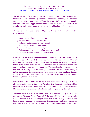The full life term of a root race is eight to nine million years. Root races overlap, the new root race being initially established about half way through the previous one. Humanity is currently about half way through the fifth root race. The middle of the fifth root race is approximately 16,000 years hence, and will be marked by a geological racial catastrophe, as are marked the mid points of all root races.

There are seven root races in one world period. The system of our evolution in the solar system is:

7 branch races make..........one sub-race, 7 sub races make.............one root race, 7 root races make............one world period, 7 world periods make.........one round, 7 rounds make................one chain period, 7 chain periods make.........one planetary scheme, and, 10 planetary schemes make....our solar system.

Humans have just passed the middle point of the chain of worlds. According to ancient wisdom, there are to be seven journeys round the seven globes. Three of these journeys have now been completed, and the human life wave is now on the fourth globe of the fourth round. The middle point of this world period was during the fourth root race, the Atlanteans. The middle point in evolution does not, however, correspond to the middle point in time. The earlier radical changes in the constitution of humans extended over millions of years, but later changes connected with the development of civilisations passed much more rapidly, taking only thousands of years.

Because the Earth is fourth in the succession, three of its seven globes are in physical manifestation at this time. The globe that humanity populated which preceded Earth was Mars and the succeeding globe for humanity's occupation is Mercury. Of course, humanity will in the future be progressively ethereal.

This universe is only one of an infinite number of universes. They are called in the Ancient Wisdom, "sons of necessity", because of links in the great cosmic chain of universes, each one being an effect with regard to its predecessor, and being a cause with regard to its successor. The appearance and disappearance of the universe are described as an outbreathing and inbreathing of the "great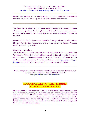breath," which is eternal, and which, being motion, is one of the three aspects of the Absolute, the other two aspects being abstract space and duration.

The above data is offered to provide one model of reality that may explain some of the many questions that people have. The Self Empowerment Academy recomends that you adopt what feels right for you and that you also do your own research.

Sources of data for the above come from the Theosophical Society, The Ancient Mystery Schools, the Rosicrucians plus a wide variety of Ancient Wisdom teachings including the Vedas.

#### **Points to remember:**

The best teacher you have lies within you – we call it our DOW – the Divine One Within (and Without). It is that all knowing, all loving, all powerful Source of Divine Love and Divine Wisdom that breathes us. If invited, it will guide us, love us, heal us and nourish us. For more on this, go to [www.jasmuheen/shop/e](http://www.jasmuheen/shop/e-books)[books](http://www.jasmuheen/shop/e-books) for the Biofields & Bliss Series and more on the Ancient Wisdom.

More writings and research by Eltrayan can be found in the many back issues of the free online magazine – The ELRAANIS Voice at [www.jasmuheen.com/who.asp#editor](http://www.jasmuheen.com/who.asp#editor)

#### **EDUCATIONAL MANUALS & BOOKS BY JASMUHEEN & S.E.A.**

IN RESONANCE: This book can be likened to a "motor mechanic" manual except it is for tuning and aligning the four-body system - physical, emotional, mental and spiritual - for a blissful life! The book covers 20 years of well-researched information on the Ancient Wisdom, plus many practical techniques to create positive change from breath and light work to bi-location, universal law, and telepathic communication! (No 2 with Esotera Magazine Best-seller - August 98 Germany) Available as an [e-book.](http://www.jasmuheen.com/shop/e-books)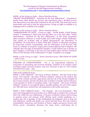#### *BOOK 1 of the Living on Light – Divine Nutrition Series:*

"PRANIC NOURISHMENT – Nutrition for the New Millennium": Jasmuheen"s fourth book which details her journey and experiences plus a detailed process that allowed her to be physically sustained by the chi of life. This book also covers immortality and tools to stop the aging process. Living on Light is available in 15 languages and is available as an [e-book.](http://www.jasmuheen.com/shop/e-books)

#### *BOOK 2 of the Living on Light – Divine Nutrition Series:*

"AMBASSADORS OF LIGHT - Living on Light – World Health, World Hunger Project" is Jasmuheen"s tenth book and the follow on to her best seller "Pranic Nourishment - Nutrition for the New Millennium". In this book Jasmuheen offers practical solutions to world health and world hunger related challenges. This entails an in-depth look at global disarmament, the dissolution of prohibition, the forgiveness of third world debt, holistic re-education programs for long-term resource sustainability, and the elimination of all dis-ease. This book is a collation of research, recipes and recommendations that if adopted, will radically alter the path of humankind! Imagine a world without war or hunger or fear? Imagine a world that is dis-ease free and unified where all life is honored? These are the dreams of the Ambassadors of Light. Available as an [e-book](http://www.jasmuheen.com/shop/e-books)

#### *BOOK 3 of the Living on Light – Divine Nutrition Series*: THE FOOD OF GODS – still to come.

STREAMS OF CONSCIOUSNESS - Vol. 3: An inspirational collection of transcripts of channeling and received teachings. Timeless in its wisdom, these teachings inspire personal mastery and were received as part of a five-volume download from 1993 – 1997.

#### *THE OUR CAMELOT Series*

BOOK 1: OUR CAMELOT - the Game of Divine Alchemy: The first book in this series, "Our Camelot - the Game of Divine Alchemy" reports on the modern day world of the wizards and their apprentices and the role of the Kosmic Knights of the Cosmic Camelot, and also the glory days of Arthur"s Camelot and its relevance to the paradise we desire to recapture today. "Our Camelot – The Game of Divine Alchemy" touches on our galactic history, parallel realities, the role of the angels, our "fall with Grace" and the free will experiment with Lucifer and more.

BOOK 2 OUR CAMELOT Series – "Our Progeny - the X-re-Generation": This semi-auto-biographical book provides an in-depth look at modern day youth and their role within the new millennium, it focuses on lifestyle choices and on being in passion, peace and purpose while offering much needed guidelines as a modern day rite of passage. In this challenging and pragmatic look at drug use and addictions; suicide and death; sex, incest and past lives; diet and resource sustainability; democracy and freedom of choice; angels and gurus; heaven and Divine power, Jasmuheen discusses the many issues confronting the X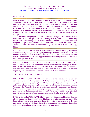#### generation today.

DANCING WITH MY DOW - Media Mania; Mastery & Mirth: This book covers Jasmuheen"s years with dealing with the mania of the global media, Jasmuheen tells her stories using both mastery and mirth while delving deeper into the role of the modern day initiate and those she calls "the bringers of change". Chapters with titles like "Punch Drunk but still Breathing" and "Wheeling and Dealing" put the press in a different perspective in a human yet humorous way, as one woman struggles to have her decades of research accepted in order to bring positive change.

Initially writing in journal form as personal therapy to relieve the stress of the media, Jasmuheen gave birth to "Dancing with My DOW". After appearing before over 800 million people to launch Divine Power and Divine Nutrition onto the global stage, Jasmuheen has now retired from the mainstream print media. This book also covers effective tools in dealing with the press. Available as an [e](http://www.jasmuheen.com/shop/e-books)[book.](http://www.jasmuheen.com/shop/e-books)

CRUISING INTO PARADISE: An esoteric coffee table book beautifully colored to stimulate energy flow, filled with programming techniques, exercises, jokes and humor, excellent quotes & ancient wisdom. This is a brilliant manual for the esoteric student and those who support the experience of paradise and makes a wonderful gift for a friend.

DIVINE RADIANCE : ON THE ROAD WITH THE MASTERS OF MAGIC: A detailed account of the life of the messengers of the Masters of Magic. A 'heart' book filled with transformational tools and stories of Jasmuheen's interaction and experience with the ones she calls the Masters of Alchemy plus tips for improving our Divine Communication, Divine Revelations and more….

#### *THE BIOFIELDS & BLISS TRILOGY:*

BOOK 1: FOUR-BODY-FITNESS : Written as a simple education manual for schools, in this book Jasmuheen and Jeff share details of Biofield Science which includes programming codes plus a lifestyle recipe that will create inner and outer peace; harmonize all people, and inspire great change. Bridging the ancient Wisdom with Futuristic Science, Biofields and Bliss also introduces the Higher Light Science of advanced bioenergetics and its pragmatic application for personal and global refinement. This book COVERS recipe 2000> in great detail and offers many practical tools for successful living. Available as an [e-book.](http://www.jasmuheen.com/shop/e-books)

BOOK 2: CO-CREATING PARADISE: Covering the Dimensional Biofield Science of fine-tuning our Social and Global Biofields to create paradise on earth, this book offers simple and powerful tools for positive transformation. It also provides a synopsis of religions, the ancient wisdom and quantum principles plus self-empowerment and peace tools. Available as an [e-book](http://www.jasmuheen.com/shop/e-books)